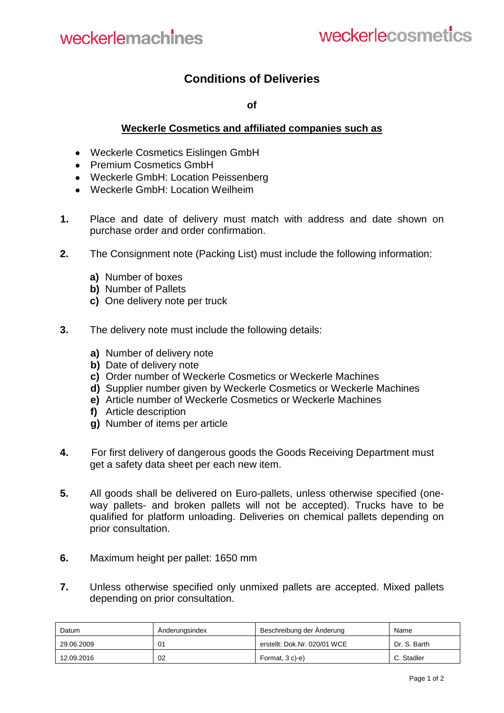## **Conditions of Deliveries**

**of**

## **Weckerle Cosmetics and affiliated companies such as**

- Weckerle Cosmetics Eislingen GmbH
- Premium Cosmetics GmbH
- Weckerle GmbH: Location Peissenberg
- Weckerle GmbH: Location Weilheim
- **1.** Place and date of delivery must match with address and date shown on purchase order and order confirmation.
- **2.** The Consignment note (Packing List) must include the following information:
	- **a)** Number of boxes
	- **b)** Number of Pallets
	- **c)** One delivery note per truck
- **3.** The delivery note must include the following details:
	- **a)** Number of delivery note
	- **b)** Date of delivery note
	- **c)** Order number of Weckerle Cosmetics or Weckerle Machines
	- **d)** Supplier number given by Weckerle Cosmetics or Weckerle Machines
	- **e)** Article number of Weckerle Cosmetics or Weckerle Machines
	- **f)** Article description
	- **g)** Number of items per article
- **4.** For first delivery of dangerous goods the Goods Receiving Department must get a safety data sheet per each new item.
- **5.** All goods shall be delivered on Euro-pallets, unless otherwise specified (oneway pallets- and broken pallets will not be accepted). Trucks have to be qualified for platform unloading. Deliveries on chemical pallets depending on prior consultation.
- **6.** Maximum height per pallet: 1650 mm
- **7.** Unless otherwise specified only unmixed pallets are accepted. Mixed pallets depending on prior consultation.

| Datum      | Anderungsindex | Beschreibung der Änderung    | Name         |
|------------|----------------|------------------------------|--------------|
| 29.06.2009 | 01             | erstellt: Dok.Nr. 020/01 WCE | Dr. S. Barth |
| 12.09.2016 | 02             | Format, 3 c)-e)              | C. Stadler   |